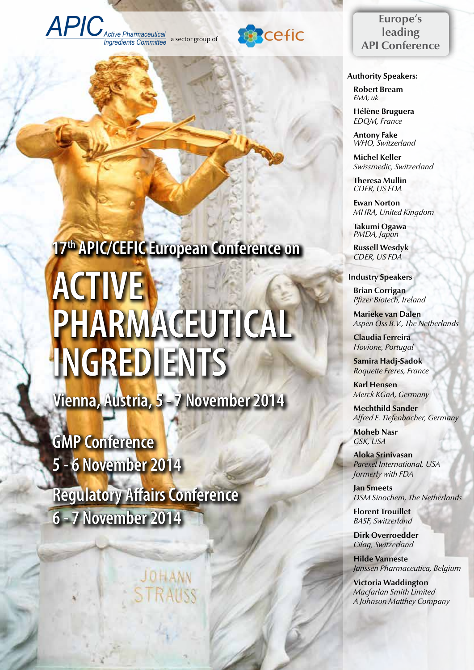



# **Europe's leading API Conference**

 **Authority Speakers:**

**Robert Bream**  *EMA; uk*

**Hélène Bruguera** *EDQM, France*

**Antony Fake** *WHO, Switzerland*

**Michel Keller** *Swissmedic, Switzerland*

**Theresa Mullin** *CDER, US FDA*

**Ewan Norton** *MHRA, United Kingdom*

**Takumi Ogawa** *PMDA, Japan*

**Russell Wesdyk** *CDER, US FDA*

#### **Industry Speakers:**

**Brian Corrigan** *Pfizer Biotech, Ireland*

**Marieke van Dalen** *Aspen Oss B.V., The Netherlands*

**Claudia Ferreira** *Hovione, Portugal*

**Samira Hadj-Sadok** *Roquette Freres, France*

**Karl Hensen** *Merck KGaA, Germany*

**Mechthild Sander** *Alfred E. Tiefenbacher, Germany*

**Moheb Nasr** *GSK, USA*

**Aloka Srinivasan** *Parexel International, USA formerly with FDA*

**Jan Smeets** *DSM Sinochem, The Netherlands*

**Florent Trouillet** *BASF, Switzerland*

**Dirk Overroedder** *Cilag, Switzerland*

**Hilde Vanneste** *Janssen Pharmaceutica, Belgium*

**Victoria Waddington** *Macfarlan Smith Limited A Johnson Matthey Company*

# **17th APIC/CEFIC European Conference on active pharmaceutical ingredients**

**Vienna, Austria, 5 - 7 November 2014**

**GMP Conference 5 - 6 November 2014**

**Regulatory Affairs Conference 6 - 7 November 2014**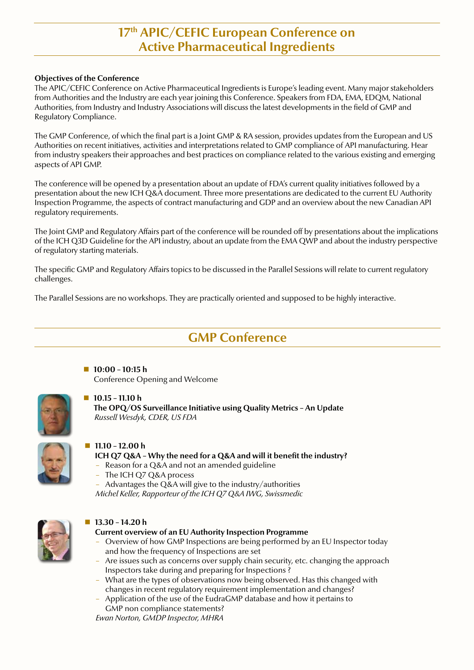# **17th APIC/CEFIC European Conference on Active Pharmaceutical Ingredients**

## **Objectives of the Conference**

The APIC/CEFIC Conference on Active Pharmaceutical Ingredients is Europe's leading event. Many major stakeholders from Authorities and the Industry are each year joining this Conference. Speakers from FDA, EMA, EDQM, National Authorities, from Industry and Industry Associations will discuss the latest developments in the field of GMP and Regulatory Compliance.

The GMP Conference, of which the final part is a Joint GMP & RA session, provides updates from the European and US Authorities on recent initiatives, activities and interpretations related to GMP compliance of API manufacturing. Hear from industry speakers their approaches and best practices on compliance related to the various existing and emerging aspects of API GMP.

The conference will be opened by a presentation about an update of FDA's current quality initiatives followed by a presentation about the new ICH Q&A document. Three more presentations are dedicated to the current EU Authority Inspection Programme, the aspects of contract manufacturing and GDP and an overview about the new Canadian API regulatory requirements.

The Joint GMP and Regulatory Affairs part of the conference will be rounded off by presentations about the implications of the ICH Q3D Guideline for the API industry, about an update from the EMA QWP and about the industry perspective of regulatory starting materials.

The specific GMP and Regulatory Affairs topics to be discussed in the Parallel Sessions will relate to current regulatory challenges.

The Parallel Sessions are no workshops. They are practically oriented and supposed to be highly interactive.

# **GMP Conference**

 **10:00 – 10:15 h** Conference Opening and Welcome



#### **10.15 – 11.10 h**

**The OPQ/OS Surveillance Initiative using Quality Metrics – An Update**  *Russell Wesdyk, CDER, US FDA*



#### **11.10 – 12.00 h**

## **ICH Q7 Q&A – Why the need for a Q&A and will it benefit the industry?**

- Reason for a Q&A and not an amended guideline
- The ICH Q7 Q&A process

– Advantages the Q&A will give to the industry/authorities *Michel Keller, Rapporteur of the ICH Q7 Q&A IWG, Swissmedic*



# **13.30 – 14.20 h**

**Current overview of an EU Authority Inspection Programme**

- Overview of how GMP Inspections are being performed by an EU Inspector today and how the frequency of Inspections are set
- Are issues such as concerns over supply chain security, etc. changing the approach Inspectors take during and preparing for Inspections ?
- What are the types of observations now being observed. Has this changed with changes in recent regulatory requirement implementation and changes?
- Application of the use of the EudraGMP database and how it pertains to GMP non compliance statements?

*Ewan Norton, GMDP Inspector, MHRA*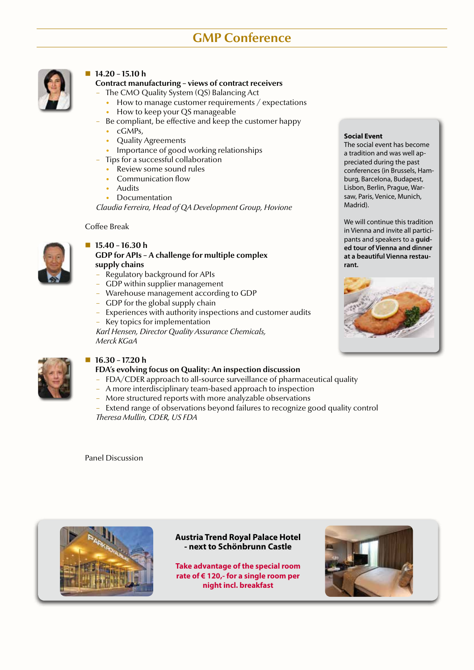# **GMP Conference**



# **14.20 – 15.10 h**

**Contract manufacturing – views of contract receivers**

- The CMO Quality System (QS) Balancing Act
	- How to manage customer requirements / expectations
- How to keep your QS manageable
- Be compliant, be effective and keep the customer happy
	- cGMPs,
	- Quality Agreements
	- Importance of good working relationships
- Tips for a successful collaboration
	- Review some sound rules
	- Communication flow
	- **Audits**
	- Documentation

*Claudia Ferreira, Head of QA Development Group, Hovione*

Coffee Break



## **15.40 – 16.30 h**

# **GDP for APIs – A challenge for multiple complex supply chains**

- Regulatory background for APIs
- GDP within supplier management
- Warehouse management according to GDP
- GDP for the global supply chain
- Experiences with authority inspections and customer audits – Key topics for implementation

*Karl Hensen, Director Quality Assurance Chemicals, Merck KGaA*



# **16.30 – 17.20 h**

## **FDA's evolving focus on Quality: An inspection discussion**

- FDA/CDER approach to all-source surveillance of pharmaceutical quality
- A more interdisciplinary team-based approach to inspection
- More structured reports with more analyzable observations
- Extend range of observations beyond failures to recognize good quality control *Theresa Mullin, CDER, US FDA*

Panel Discussion



**Austria Trend Royal Palace Hotel - next to Schönbrunn Castle**

**Take advantage of the special room rate of € 120,- for a single room per night incl. breakfast**



#### **Social Event**

The social event has become a tradition and was well appreciated during the past conferences (in Brussels, Hamburg, Barcelona, Budapest, Lisbon, Berlin, Prague, Warsaw, Paris, Venice, Munich, Madrid).

We will continue this tradition in Vienna and invite all participants and speakers to a **guided tour of Vienna and dinner at a beautiful Vienna restaurant.**

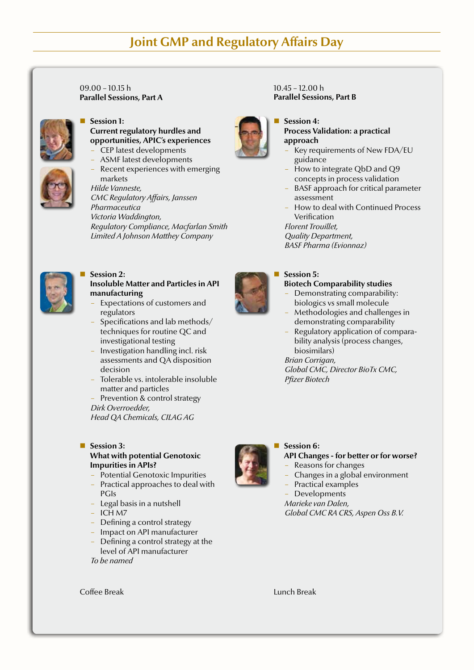# **Joint GMP and Regulatory Affairs Day**

 $09.00 - 10.15$  h **Parallel Sessions, Part A**



#### **Session 1: Current regulatory hurdles and opportunities, APIC's experiences** – CEP latest developments

- ASMF latest developments
- Recent experiences with emerging markets

*Hilde Vanneste, CMC Regulatory Affairs, Janssen Pharmaceutica Victoria Waddington, Regulatory Compliance, Macfarlan Smith Limited A Johnson Matthey Company*



#### **Session 2: Insoluble Matter and Particles in API manufacturing**

- Expectations of customers and regulators
- Specifications and lab methods/ techniques for routine QC and investigational testing
- Investigation handling incl. risk assessments and QA disposition decision
- Tolerable vs. intolerable insoluble matter and particles
- Prevention & control strategy *Dirk Overroedder, Head QA Chemicals, CILAG AG*

#### Session 3: **What with potential Genotoxic Impurities in APIs?**

- Potential Genotoxic Impurities
- Practical approaches to deal with PGIs
- Legal basis in a nutshell
- ICH M7
- Defining a control strategy
- Impact on API manufacturer
- Defining a control strategy at the level of API manufacturer

*To be named*





## **Session 4:**

**Process Validation: a practical approach**

- Key requirements of New FDA/EU guidance
- How to integrate QbD and Q9 concepts in process validation
- BASF approach for critical parameter assessment
- How to deal with Continued Process Verification

*Florent Trouillet, Quality Department, BASF Pharma (Evionnaz)*

# **Session 5:**

# **Biotech Comparability studies**

- Demonstrating comparability: biologics vs small molecule
- Methodologies and challenges in demonstrating comparability
- Regulatory application of comparability analysis (process changes, biosimilars)

# *Brian Corrigan,*

*Global CMC, Director BioTx CMC, Pfizer Biotech*



# **Session 6:**

#### **API Changes - for better or for worse?**

- Reasons for changes
- Changes in a global environment
- Practical examples
- Developments

#### *Marieke van Dalen, Global CMC RA CRS, Aspen Oss B.V.*

**Coffee Break Lunch Break Lunch Break Lunch Break**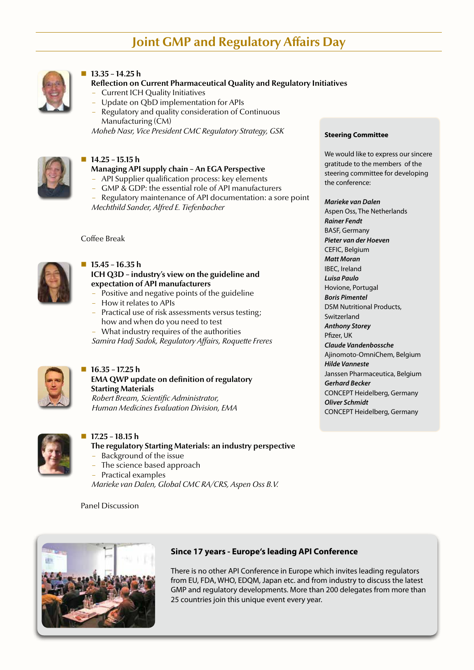# **Joint GMP and Regulatory Affairs Day**



## **13.35 – 14.25 h**

# **Reflection on Current Pharmaceutical Quality and Regulatory Initiatives**

- Current ICH Quality Initiatives
- Update on QbD implementation for APIs
- Regulatory and quality consideration of Continuous Manufacturing (CM)

*Moheb Nasr, Vice President CMC Regulatory Strategy, GSK*



#### **14.25 – 15.15 h**

# **Managing API supply chain – An EGA Perspective**

- API Supplier qualification process: key elements
- GMP & GDP: the essential role of API manufacturers
- Regulatory maintenance of API documentation: a sore point *Mechthild Sander, Alfred E. Tiefenbacher*

Coffee Break



#### **15.45 – 16.35 h**

## **ICH Q3D – industry's view on the guideline and expectation of API manufacturers**

- Positive and negative points of the guideline
- How it relates to APIs
- Practical use of risk assessments versus testing; how and when do you need to test

– What industry requires of the authorities *Samira Hadj Sadok, Regulatory Affairs, Roquette Freres*



# **16.35 – 17.25 h**

**EMA QWP update on definition of regulatory Starting Materials** *Robert Bream, Scientific Administrator, Human Medicines Evaluation Division, EMA*



#### **17.25 – 18.15 h**

**The regulatory Starting Materials: an industry perspective**

- Background of the issue
- The science based approach
- Practical examples

*Marieke van Dalen, Global CMC RA/CRS, Aspen Oss B.V.*

Panel Discussion



# **Since 17 years - Europe's leading API Conference**

There is no other API Conference in Europe which invites leading regulators from EU, FDA, WHO, EDQM, Japan etc. and from industry to discuss the latest GMP and regulatory developments. More than 200 delegates from more than 25 countries join this unique event every year.

#### **Steering Committee**

We would like to express our sincere gratitude to the members of the steering committee for developing the conference:

#### *Marieke van Dalen*

Aspen Oss, The Netherlands *Rainer Fendt* BASF, Germany *Pieter van der Hoeven* CEFIC, Belgium *Matt Moran* IBEC, Ireland *Luisa Paulo* Hovione, Portugal *Boris Pimentel* DSM Nutritional Products, Switzerland *Anthony Storey* Pfizer, UK *Claude Vandenbossche* Ajinomoto-OmniChem, Belgium *Hilde Vanneste* Janssen Pharmaceutica, Belgium *Gerhard Becker* CONCEPT Heidelberg, Germany *Oliver Schmidt* CONCEPT Heidelberg, Germany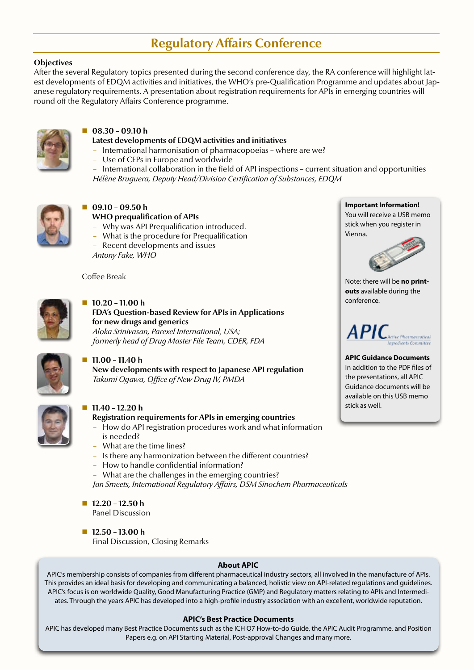# **Regulatory Affairs Conference**

## **Objectives**

After the several Regulatory topics presented during the second conference day, the RA conference will highlight latest developments of EDQM activities and initiatives, the WHO's pre-Qualification Programme and updates about Japanese regulatory requirements. A presentation about registration requirements for APIs in emerging countries will round off the Regulatory Affairs Conference programme.



# **08.30 – 09.10 h**

#### **Latest developments of EDQM activities and initiatives**

- International harmonisation of pharmacopoeias where are we?
- Use of CEPs in Europe and worldwide
- International collaboration in the field of API inspections current situation and opportunities *Hélène Bruguera, Deputy Head/Division Certification of Substances, EDQM*



#### **09.10 – 09.50 h WHO prequalification of APIs**

- Why was API Prequalification introduced.
- What is the procedure for Prequalification
- Recent developments and issues

*Antony Fake, WHO*

Coffee Break



#### **10.20 – 11.00 h**

**FDA's Question-based Review for APIs in Applications for new drugs and generics** *Aloka Srinivasan, Parexel International, USA; formerly head of Drug Master File Team, CDER, FDA*



# **11.00 – 11.40 h**

**New developments with respect to Japanese API regulation** *Takumi Ogawa, Office of New Drug IV, PMDA*



#### **11.40 – 12.20 h**

# **Registration requirements for APIs in emerging countries**

- How do API registration procedures work and what information is needed?
- What are the time lines?
- Is there any harmonization between the different countries?
- How to handle confidential information?
- What are the challenges in the emerging countries? *Jan Smeets, International Regulatory Affairs, DSM Sinochem Pharmaceuticals*
- **12.20 12.50 h** Panel Discussion
- **12.50 13.00 h** Final Discussion, Closing Remarks

**Important Information!** You will receive a USB memo stick when you register in Vienna.



Note: there will be **no printouts** available during the conference.

#### A PI ( .<br>Active Pharmaceutical sandients Committe.

**APIC Guidance Documents** In addition to the PDF files of the presentations, all APIC Guidance documents will be available on this USB memo stick as well.

#### **About APIC**

APIC's membership consists of companies from different pharmaceutical industry sectors, all involved in the manufacture of APIs. This provides an ideal basis for developing and communicating a balanced, holistic view on API-related regulations and guidelines. APIC's focus is on worldwide Quality, Good Manufacturing Practice (GMP) and Regulatory matters relating to APIs and Intermediates. Through the years APIC has developed into a high-profile industry association with an excellent, worldwide reputation.

#### **APIC's Best Practice Documents**

APIC has developed many Best Practice Documents such as the ICH Q7 How-to-do Guide, the APIC Audit Programme, and Position Papers e.g. on API Starting Material, Post-approval Changes and many more.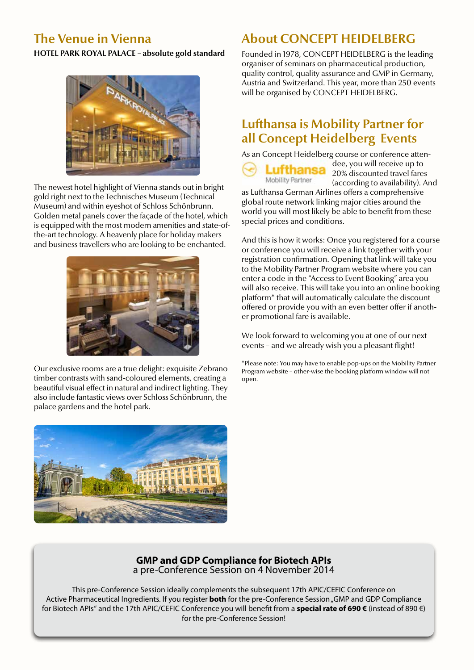# **The Venue in Vienna**

**HOTEL PARK ROYAL PALACE – absolute gold standard**



The newest hotel highlight of Vienna stands out in bright gold right next to the Technisches Museum (Technical Museum) and within eyeshot of Schloss Schönbrunn. Golden metal panels cover the façade of the hotel, which is equipped with the most modern amenities and state-ofthe-art technology. A heavenly place for holiday makers and business travellers who are looking to be enchanted.



Our exclusive rooms are a true delight: exquisite Zebrano timber contrasts with sand-coloured elements, creating a beautiful visual effect in natural and indirect lighting. They also include fantastic views over Schloss Schönbrunn, the palace gardens and the hotel park.



# **About CONCEPT HEIDELBERG**

Founded in 1978, CONCEPT HEIDELBERG is the leading organiser of seminars on pharmaceutical production, quality control, quality assurance and GMP in Germany, Austria and Switzerland. This year, more than 250 events will be organised by CONCEPT HEIDELBERG.

# **Lufthansa is Mobility Partner for all Concept Heidelberg Events**

As an Concept Heidelberg course or conference atten-



dee, you will receive up to 20% discounted travel fares (according to availability). And

as Lufthansa German Airlines offers a comprehensive global route network linking major cities around the world you will most likely be able to benefit from these special prices and conditions.

And this is how it works: Once you registered for a course or conference you will receive a link together with your registration confirmation. Opening that link will take you to the Mobility Partner Program website where you can enter a code in the "Access to Event Booking" area you will also receive. This will take you into an online booking platform\* that will automatically calculate the discount offered or provide you with an even better offer if another promotional fare is available.

We look forward to welcoming you at one of our next events – and we already wish you a pleasant flight!

\*Please note: You may have to enable pop-ups on the Mobility Partner Program website – other-wise the booking platform window will not open.

# **GMP and GDP Compliance for Biotech APIs** a pre-Conference Session on 4 November 2014

This pre-Conference Session ideally complements the subsequent 17th APIC/CEFIC Conference on Active Pharmaceutical Ingredients. If you register **both** for the pre-Conference Session "GMP and GDP Compliance for Biotech APIs" and the 17th APIC/CEFIC Conference you will benefit from a **special rate of 690 €** (instead of 890 €) for the pre-Conference Session!